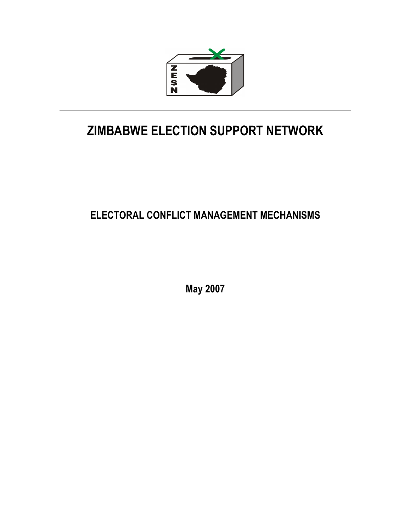

# ZIMBABWE ELECTION SUPPORT NETWORK

# ELECTORAL CONFLICT MANAGEMENT MECHANISMS

May 2007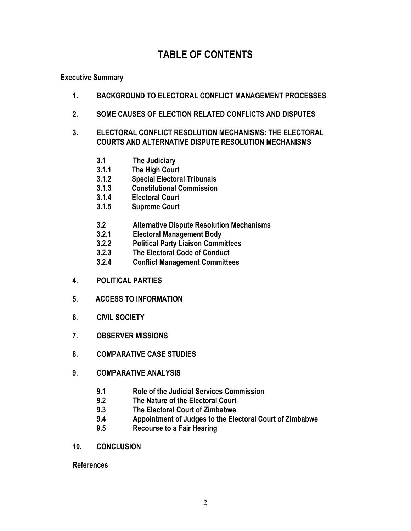# TABLE OF CONTENTS

#### Executive Summary

- 1. BACKGROUND TO ELECTORAL CONFLICT MANAGEMENT PROCESSES
- 2. SOME CAUSES OF ELECTION RELATED CONFLICTS AND DISPUTES
- 3. ELECTORAL CONFLICT RESOLUTION MECHANISMS: THE ELECTORAL COURTS AND ALTERNATIVE DISPUTE RESOLUTION MECHANISMS
	- 3.1 The Judiciary
	- 3.1.1 The High Court<br>3.1.2 Special Electora
	- Special Electoral Tribunals
	- 3.1.3 Constitutional Commission
	- 3.1.4 Electoral Court
	- 3.1.5 Supreme Court
	- 3.2 Alternative Dispute Resolution Mechanisms
	- 3.2.1 Electoral Management Body
	- 3.2.2 Political Party Liaison Committees
	- 3.2.3 The Electoral Code of Conduct
	- 3.2.4 Conflict Management Committees
- 4. POLITICAL PARTIES
- 5. ACCESS TO INFORMATION
- 6. CIVIL SOCIETY
- 7. OBSERVER MISSIONS
- 8. COMPARATIVE CASE STUDIES
- 9. COMPARATIVE ANALYSIS
	- 9.1 Role of the Judicial Services Commission<br>9.2 The Nature of the Flectoral Court
	- The Nature of the Electoral Court
	- 9.3 The Electoral Court of Zimbabwe
	- 9.4 Appointment of Judges to the Electoral Court of Zimbabwe<br>9.5 Recourse to a Fair Hearing
	- Recourse to a Fair Hearing
- 10. CONCLUSION

References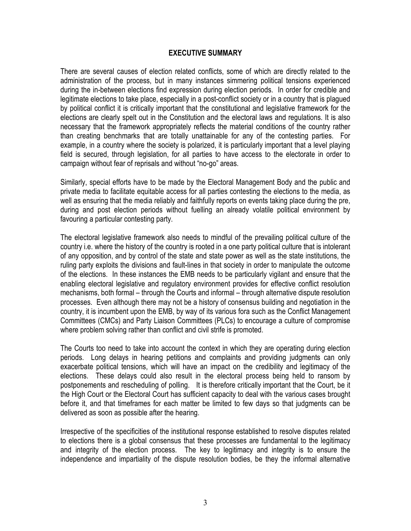#### EXECUTIVE SUMMARY

There are several causes of election related conflicts, some of which are directly related to the administration of the process, but in many instances simmering political tensions experienced during the in-between elections find expression during election periods. In order for credible and legitimate elections to take place, especially in a post-conflict society or in a country that is plagued by political conflict it is critically important that the constitutional and legislative framework for the elections are clearly spelt out in the Constitution and the electoral laws and regulations. It is also necessary that the framework appropriately reflects the material conditions of the country rather than creating benchmarks that are totally unattainable for any of the contesting parties. For example, in a country where the society is polarized, it is particularly important that a level playing field is secured, through legislation, for all parties to have access to the electorate in order to campaign without fear of reprisals and without "no-go" areas.

Similarly, special efforts have to be made by the Electoral Management Body and the public and private media to facilitate equitable access for all parties contesting the elections to the media, as well as ensuring that the media reliably and faithfully reports on events taking place during the pre, during and post election periods without fuelling an already volatile political environment by favouring a particular contesting party.

The electoral legislative framework also needs to mindful of the prevailing political culture of the country i.e. where the history of the country is rooted in a one party political culture that is intolerant of any opposition, and by control of the state and state power as well as the state institutions, the ruling party exploits the divisions and fault-lines in that society in order to manipulate the outcome of the elections. In these instances the EMB needs to be particularly vigilant and ensure that the enabling electoral legislative and regulatory environment provides for effective conflict resolution mechanisms, both formal – through the Courts and informal – through alternative dispute resolution processes. Even although there may not be a history of consensus building and negotiation in the country, it is incumbent upon the EMB, by way of its various fora such as the Conflict Management Committees (CMCs) and Party Liaison Committees (PLCs) to encourage a culture of compromise where problem solving rather than conflict and civil strife is promoted.

The Courts too need to take into account the context in which they are operating during election periods. Long delays in hearing petitions and complaints and providing judgments can only exacerbate political tensions, which will have an impact on the credibility and legitimacy of the elections. These delays could also result in the electoral process being held to ransom by postponements and rescheduling of polling. It is therefore critically important that the Court, be it the High Court or the Electoral Court has sufficient capacity to deal with the various cases brought before it, and that timeframes for each matter be limited to few days so that judgments can be delivered as soon as possible after the hearing.

Irrespective of the specificities of the institutional response established to resolve disputes related to elections there is a global consensus that these processes are fundamental to the legitimacy and integrity of the election process. The key to legitimacy and integrity is to ensure the independence and impartiality of the dispute resolution bodies, be they the informal alternative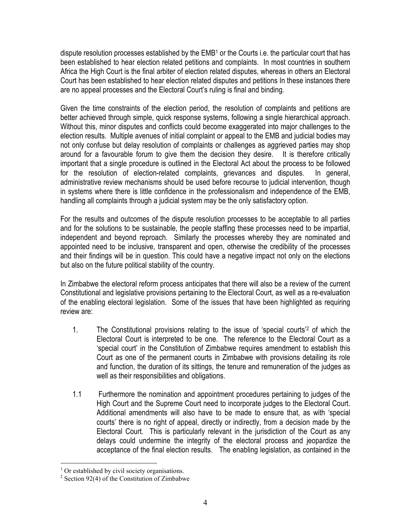dispute resolution processes established by the  $\textsf{EMB}^\text{1}$  or the Courts i.e. the particular court that has been established to hear election related petitions and complaints. In most countries in southern Africa the High Court is the final arbiter of election related disputes, whereas in others an Electoral Court has been established to hear election related disputes and petitions In these instances there are no appeal processes and the Electoral Court's ruling is final and binding.

Given the time constraints of the election period, the resolution of complaints and petitions are better achieved through simple, quick response systems, following a single hierarchical approach. Without this, minor disputes and conflicts could become exaggerated into major challenges to the election results. Multiple avenues of initial complaint or appeal to the EMB and judicial bodies may not only confuse but delay resolution of complaints or challenges as aggrieved parties may shop around for a favourable forum to give them the decision they desire. It is therefore critically important that a single procedure is outlined in the Electoral Act about the process to be followed for the resolution of election-related complaints, grievances and disputes. In general, administrative review mechanisms should be used before recourse to judicial intervention, though in systems where there is little confidence in the professionalism and independence of the EMB, handling all complaints through a judicial system may be the only satisfactory option.

For the results and outcomes of the dispute resolution processes to be acceptable to all parties and for the solutions to be sustainable, the people staffing these processes need to be impartial, independent and beyond reproach. Similarly the processes whereby they are nominated and appointed need to be inclusive, transparent and open, otherwise the credibility of the processes and their findings will be in question. This could have a negative impact not only on the elections but also on the future political stability of the country.

In Zimbabwe the electoral reform process anticipates that there will also be a review of the current Constitutional and legislative provisions pertaining to the Electoral Court, as well as a re-evaluation of the enabling electoral legislation. Some of the issues that have been highlighted as requiring review are:

- 1. The Constitutional provisions relating to the issue of 'special courts'<sup>2</sup> of which the Electoral Court is interpreted to be one. The reference to the Electoral Court as a 'special court' in the Constitution of Zimbabwe requires amendment to establish this Court as one of the permanent courts in Zimbabwe with provisions detailing its role and function, the duration of its sittings, the tenure and remuneration of the judges as well as their responsibilities and obligations.
- 1.1 Furthermore the nomination and appointment procedures pertaining to judges of the High Court and the Supreme Court need to incorporate judges to the Electoral Court. Additional amendments will also have to be made to ensure that, as with 'special courts' there is no right of appeal, directly or indirectly, from a decision made by the Electoral Court. This is particularly relevant in the jurisdiction of the Court as any delays could undermine the integrity of the electoral process and jeopardize the acceptance of the final election results. The enabling legislation, as contained in the

 1 Or established by civil society organisations.

 $2$  Section 92(4) of the Constitution of Zimbabwe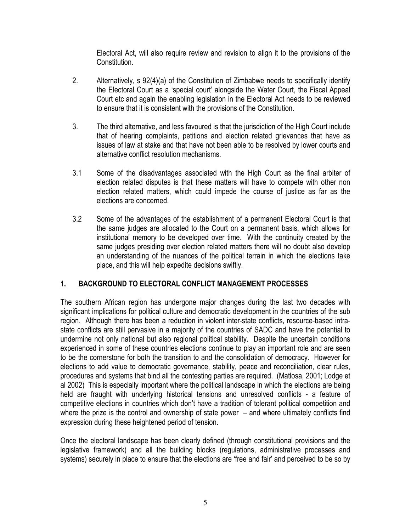Electoral Act, will also require review and revision to align it to the provisions of the Constitution.

- 2. Alternatively, s 92(4)(a) of the Constitution of Zimbabwe needs to specifically identify the Electoral Court as a 'special court' alongside the Water Court, the Fiscal Appeal Court etc and again the enabling legislation in the Electoral Act needs to be reviewed to ensure that it is consistent with the provisions of the Constitution.
- 3. The third alternative, and less favoured is that the jurisdiction of the High Court include that of hearing complaints, petitions and election related grievances that have as issues of law at stake and that have not been able to be resolved by lower courts and alternative conflict resolution mechanisms.
- 3.1 Some of the disadvantages associated with the High Court as the final arbiter of election related disputes is that these matters will have to compete with other non election related matters, which could impede the course of justice as far as the elections are concerned.
- 3.2 Some of the advantages of the establishment of a permanent Electoral Court is that the same judges are allocated to the Court on a permanent basis, which allows for institutional memory to be developed over time. With the continuity created by the same judges presiding over election related matters there will no doubt also develop an understanding of the nuances of the political terrain in which the elections take place, and this will help expedite decisions swiftly.

#### 1. BACKGROUND TO ELECTORAL CONFLICT MANAGEMENT PROCESSES

The southern African region has undergone major changes during the last two decades with significant implications for political culture and democratic development in the countries of the sub region. Although there has been a reduction in violent inter-state conflicts, resource-based intrastate conflicts are still pervasive in a majority of the countries of SADC and have the potential to undermine not only national but also regional political stability. Despite the uncertain conditions experienced in some of these countries elections continue to play an important role and are seen to be the cornerstone for both the transition to and the consolidation of democracy. However for elections to add value to democratic governance, stability, peace and reconciliation, clear rules, procedures and systems that bind all the contesting parties are required. (Matlosa, 2001; Lodge et al 2002) This is especially important where the political landscape in which the elections are being held are fraught with underlying historical tensions and unresolved conflicts - a feature of competitive elections in countries which don't have a tradition of tolerant political competition and where the prize is the control and ownership of state power – and where ultimately conflicts find expression during these heightened period of tension.

Once the electoral landscape has been clearly defined (through constitutional provisions and the legislative framework) and all the building blocks (regulations, administrative processes and systems) securely in place to ensure that the elections are 'free and fair' and perceived to be so by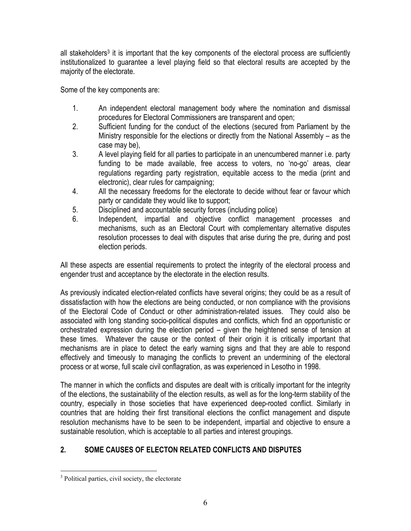all stakeholders<sup>3</sup> it is important that the key components of the electoral process are sufficiently institutionalized to guarantee a level playing field so that electoral results are accepted by the majority of the electorate.

Some of the key components are:

- 1. An independent electoral management body where the nomination and dismissal procedures for Electoral Commissioners are transparent and open;
- 2. Sufficient funding for the conduct of the elections (secured from Parliament by the Ministry responsible for the elections or directly from the National Assembly – as the case may be),
- 3. A level playing field for all parties to participate in an unencumbered manner i.e. party funding to be made available, free access to voters, no 'no-go' areas, clear regulations regarding party registration, equitable access to the media (print and electronic), clear rules for campaigning;
- 4. All the necessary freedoms for the electorate to decide without fear or favour which party or candidate they would like to support;
- 5. Disciplined and accountable security forces (including police)
- 6. Independent, impartial and objective conflict management processes and mechanisms, such as an Electoral Court with complementary alternative disputes resolution processes to deal with disputes that arise during the pre, during and post election periods.

All these aspects are essential requirements to protect the integrity of the electoral process and engender trust and acceptance by the electorate in the election results.

As previously indicated election-related conflicts have several origins; they could be as a result of dissatisfaction with how the elections are being conducted, or non compliance with the provisions of the Electoral Code of Conduct or other administration-related issues. They could also be associated with long standing socio-political disputes and conflicts, which find an opportunistic or orchestrated expression during the election period – given the heightened sense of tension at these times. Whatever the cause or the context of their origin it is critically important that mechanisms are in place to detect the early warning signs and that they are able to respond effectively and timeously to managing the conflicts to prevent an undermining of the electoral process or at worse, full scale civil conflagration, as was experienced in Lesotho in 1998.

The manner in which the conflicts and disputes are dealt with is critically important for the integrity of the elections, the sustainability of the election results, as well as for the long-term stability of the country, especially in those societies that have experienced deep-rooted conflict. Similarly in countries that are holding their first transitional elections the conflict management and dispute resolution mechanisms have to be seen to be independent, impartial and objective to ensure a sustainable resolution, which is acceptable to all parties and interest groupings.

# 2. SOME CAUSES OF ELECTON RELATED CONFLICTS AND DISPUTES

<sup>&</sup>lt;sup>3</sup> Political parties, civil society, the electorate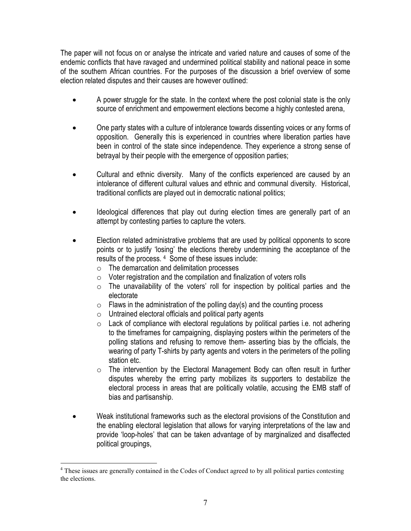The paper will not focus on or analyse the intricate and varied nature and causes of some of the endemic conflicts that have ravaged and undermined political stability and national peace in some of the southern African countries. For the purposes of the discussion a brief overview of some election related disputes and their causes are however outlined:

- A power struggle for the state. In the context where the post colonial state is the only source of enrichment and empowerment elections become a highly contested arena,
- One party states with a culture of intolerance towards dissenting voices or any forms of opposition. Generally this is experienced in countries where liberation parties have been in control of the state since independence. They experience a strong sense of betrayal by their people with the emergence of opposition parties;
- Cultural and ethnic diversity. Many of the conflicts experienced are caused by an intolerance of different cultural values and ethnic and communal diversity. Historical, traditional conflicts are played out in democratic national politics;
- Ideological differences that play out during election times are generally part of an attempt by contesting parties to capture the voters.
- Election related administrative problems that are used by political opponents to score points or to justify 'losing' the elections thereby undermining the acceptance of the results of the process. <sup>4</sup> Some of these issues include:
	- $\circ$  The demarcation and delimitation processes
	- $\circ$  Voter registration and the compilation and finalization of voters rolls
	- $\circ$  The unavailability of the voters' roll for inspection by political parties and the electorate
	- $\circ$  Flaws in the administration of the polling day(s) and the counting process
	- $\circ$  Untrained electoral officials and political party agents
	- $\circ$  Lack of compliance with electoral regulations by political parties i.e. not adhering to the timeframes for campaigning, displaying posters within the perimeters of the polling stations and refusing to remove them- asserting bias by the officials, the wearing of party T-shirts by party agents and voters in the perimeters of the polling station etc.
	- o The intervention by the Electoral Management Body can often result in further disputes whereby the erring party mobilizes its supporters to destabilize the electoral process in areas that are politically volatile, accusing the EMB staff of bias and partisanship.
- Weak institutional frameworks such as the electoral provisions of the Constitution and the enabling electoral legislation that allows for varying interpretations of the law and provide 'loop-holes' that can be taken advantage of by marginalized and disaffected political groupings,

<sup>&</sup>lt;sup>4</sup> These issues are generally contained in the Codes of Conduct agreed to by all political parties contesting the elections.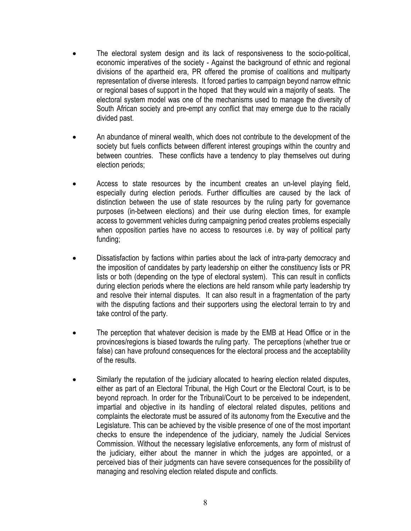- The electoral system design and its lack of responsiveness to the socio-political, economic imperatives of the society - Against the background of ethnic and regional divisions of the apartheid era, PR offered the promise of coalitions and multiparty representation of diverse interests. It forced parties to campaign beyond narrow ethnic or regional bases of support in the hoped that they would win a majority of seats. The electoral system model was one of the mechanisms used to manage the diversity of South African society and pre-empt any conflict that may emerge due to the racially divided past.
- An abundance of mineral wealth, which does not contribute to the development of the society but fuels conflicts between different interest groupings within the country and between countries. These conflicts have a tendency to play themselves out during election periods;
- Access to state resources by the incumbent creates an un-level playing field, especially during election periods. Further difficulties are caused by the lack of distinction between the use of state resources by the ruling party for governance purposes (in-between elections) and their use during election times, for example access to government vehicles during campaigning period creates problems especially when opposition parties have no access to resources i.e. by way of political party funding;
- Dissatisfaction by factions within parties about the lack of intra-party democracy and the imposition of candidates by party leadership on either the constituency lists or PR lists or both (depending on the type of electoral system). This can result in conflicts during election periods where the elections are held ransom while party leadership try and resolve their internal disputes. It can also result in a fragmentation of the party with the disputing factions and their supporters using the electoral terrain to try and take control of the party.
- The perception that whatever decision is made by the EMB at Head Office or in the provinces/regions is biased towards the ruling party. The perceptions (whether true or false) can have profound consequences for the electoral process and the acceptability of the results.
- Similarly the reputation of the judiciary allocated to hearing election related disputes, either as part of an Electoral Tribunal, the High Court or the Electoral Court, is to be beyond reproach. In order for the Tribunal/Court to be perceived to be independent, impartial and objective in its handling of electoral related disputes, petitions and complaints the electorate must be assured of its autonomy from the Executive and the Legislature. This can be achieved by the visible presence of one of the most important checks to ensure the independence of the judiciary, namely the Judicial Services Commission. Without the necessary legislative enforcements, any form of mistrust of the judiciary, either about the manner in which the judges are appointed, or a perceived bias of their judgments can have severe consequences for the possibility of managing and resolving election related dispute and conflicts.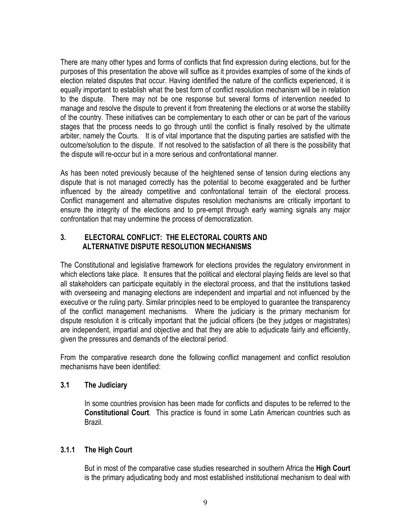There are many other types and forms of conflicts that find expression during elections, but for the purposes of this presentation the above will suffice as it provides examples of some of the kinds of election related disputes that occur. Having identified the nature of the conflicts experienced, it is equally important to establish what the best form of conflict resolution mechanism will be in relation to the dispute. There may not be one response but several forms of intervention needed to manage and resolve the dispute to prevent it from threatening the elections or at worse the stability of the country. These initiatives can be complementary to each other or can be part of the various stages that the process needs to go through until the conflict is finally resolved by the ultimate arbiter, namely the Courts. It is of vital importance that the disputing parties are satisfied with the outcome/solution to the dispute. If not resolved to the satisfaction of all there is the possibility that the dispute will re-occur but in a more serious and confrontational manner.

As has been noted previously because of the heightened sense of tension during elections any dispute that is not managed correctly has the potential to become exaggerated and be further influenced by the already competitive and confrontational terrain of the electoral process. Conflict management and alternative disputes resolution mechanisms are critically important to ensure the integrity of the elections and to pre-empt through early warning signals any major confrontation that may undermine the process of democratization.

#### 3. ELECTORAL CONFLICT: THE ELECTORAL COURTS AND ALTERNATIVE DISPUTE RESOLUTION MECHANISMS

The Constitutional and legislative framework for elections provides the regulatory environment in which elections take place. It ensures that the political and electoral playing fields are level so that all stakeholders can participate equitably in the electoral process, and that the institutions tasked with overseeing and managing elections are independent and impartial and not influenced by the executive or the ruling party. Similar principles need to be employed to guarantee the transparency of the conflict management mechanisms. Where the judiciary is the primary mechanism for dispute resolution it is critically important that the judicial officers (be they judges or magistrates) are independent, impartial and objective and that they are able to adjudicate fairly and efficiently, given the pressures and demands of the electoral period.

From the comparative research done the following conflict management and conflict resolution mechanisms have been identified:

#### 3.1 The Judiciary

In some countries provision has been made for conflicts and disputes to be referred to the Constitutional Court. This practice is found in some Latin American countries such as Brazil.

# 3.1.1 The High Court

But in most of the comparative case studies researched in southern Africa the High Court is the primary adjudicating body and most established institutional mechanism to deal with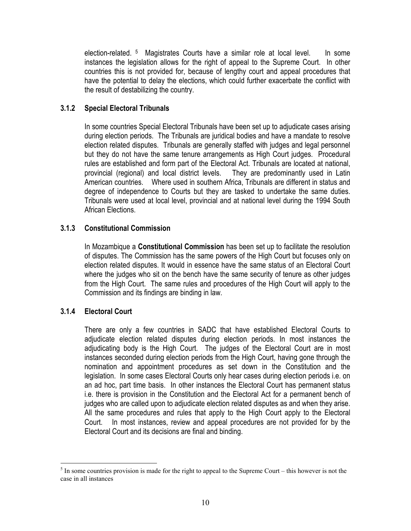election-related. <sup>5</sup> Magistrates Courts have a similar role at local level. In some instances the legislation allows for the right of appeal to the Supreme Court. In other countries this is not provided for, because of lengthy court and appeal procedures that have the potential to delay the elections, which could further exacerbate the conflict with the result of destabilizing the country.

#### 3.1.2 Special Electoral Tribunals

In some countries Special Electoral Tribunals have been set up to adjudicate cases arising during election periods. The Tribunals are juridical bodies and have a mandate to resolve election related disputes. Tribunals are generally staffed with judges and legal personnel but they do not have the same tenure arrangements as High Court judges. Procedural rules are established and form part of the Electoral Act. Tribunals are located at national, provincial (regional) and local district levels. They are predominantly used in Latin American countries. Where used in southern Africa, Tribunals are different in status and degree of independence to Courts but they are tasked to undertake the same duties. Tribunals were used at local level, provincial and at national level during the 1994 South African Elections.

#### 3.1.3 Constitutional Commission

In Mozambique a Constitutional Commission has been set up to facilitate the resolution of disputes. The Commission has the same powers of the High Court but focuses only on election related disputes. It would in essence have the same status of an Electoral Court where the judges who sit on the bench have the same security of tenure as other judges from the High Court. The same rules and procedures of the High Court will apply to the Commission and its findings are binding in law.

# 3.1.4 Electoral Court

There are only a few countries in SADC that have established Electoral Courts to adjudicate election related disputes during election periods. In most instances the adjudicating body is the High Court. The judges of the Electoral Court are in most instances seconded during election periods from the High Court, having gone through the nomination and appointment procedures as set down in the Constitution and the legislation. In some cases Electoral Courts only hear cases during election periods i.e. on an ad hoc, part time basis. In other instances the Electoral Court has permanent status i.e. there is provision in the Constitution and the Electoral Act for a permanent bench of judges who are called upon to adjudicate election related disputes as and when they arise. All the same procedures and rules that apply to the High Court apply to the Electoral Court. In most instances, review and appeal procedures are not provided for by the Electoral Court and its decisions are final and binding.

<sup>&</sup>lt;sup>5</sup> In some countries provision is made for the right to appeal to the Supreme Court – this however is not the case in all instances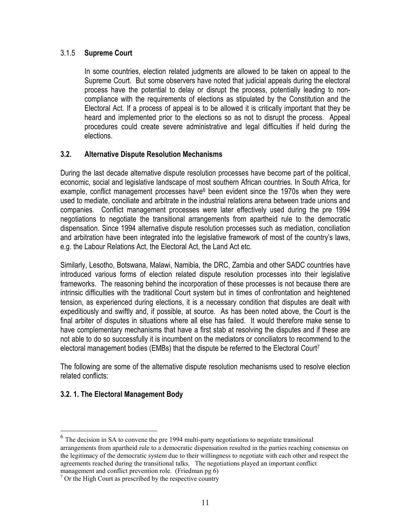#### 3.1.5 Supreme Court

In some countries, election related judgments are allowed to be taken on appeal to the Supreme Court. But some observers have noted that judicial appeals during the electoral process have the potential to delay or disrupt the process, potentially leading to noncompliance with the requirements of elections as stipulated by the Constitution and the Electoral Act. If a process of appeal is to be allowed it is critically important that they be heard and implemented prior to the elections so as not to disrupt the process. Appeal procedures could create severe administrative and legal difficulties if held during the elections.

#### 3.2. Alternative Dispute Resolution Mechanisms

During the last decade alternative dispute resolution processes have become part of the political, economic, social and legislative landscape of most southern African countries. In South Africa, for example, conflict management processes have<sup>6</sup> been evident since the 1970s when they were used to mediate, conciliate and arbitrate in the industrial relations arena between trade unions and companies. Conflict management processes were later effectively used during the pre 1994 negotiations to negotiate the transitional arrangements from apartheid rule to the democratic dispensation. Since 1994 alternative dispute resolution processes such as mediation, conciliation and arbitration have been integrated into the legislative framework of most of the country's laws, e.g. the Labour Relations Act, the Electoral Act, the Land Act etc.

Similarly, Lesotho, Botswana, Malawi, Namibia, the DRC, Zambia and other SADC countries have introduced various forms of election related dispute resolution processes into their legislative frameworks. The reasoning behind the incorporation of these processes is not because there are intrinsic difficulties with the traditional Court system but in times of confrontation and heightened tension, as experienced during elections, it is a necessary condition that disputes are dealt with expeditiously and swiftly and, if possible, at source. As has been noted above, the Court is the final arbiter of disputes in situations where all else has failed. It would therefore make sense to have complementary mechanisms that have a first stab at resolving the disputes and if these are not able to do so successfully it is incumbent on the mediators or conciliators to recommend to the electoral management bodies (EMBs) that the dispute be referred to the Electoral Court<sup>7</sup>

The following are some of the alternative dispute resolution mechanisms used to resolve election related conflicts:

# 3.2. 1. The Electoral Management Body

 $\overline{a}$ 

 $<sup>6</sup>$  The decision in SA to convene the pre 1994 multi-party negotiations to negotiate transitional</sup> arrangements from apartheid rule to a democratic dispensation resulted in the parties reaching consensus on the legitimacy of the democratic system due to their willingness to negotiate with each other and respect the agreements reached during the transitional talks. The negotiations played an important conflict management and conflict prevention role. (Friedman pg 6)

<sup>7</sup> Or the High Court as prescribed by the respective country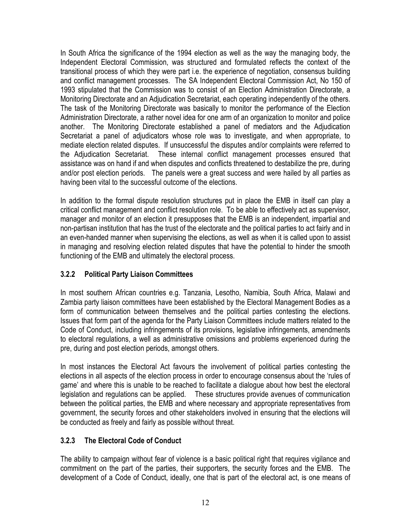In South Africa the significance of the 1994 election as well as the way the managing body, the Independent Electoral Commission, was structured and formulated reflects the context of the transitional process of which they were part i.e. the experience of negotiation, consensus building and conflict management processes. The SA Independent Electoral Commission Act, No 150 of 1993 stipulated that the Commission was to consist of an Election Administration Directorate, a Monitoring Directorate and an Adjudication Secretariat, each operating independently of the others. The task of the Monitoring Directorate was basically to monitor the performance of the Election Administration Directorate, a rather novel idea for one arm of an organization to monitor and police another. The Monitoring Directorate established a panel of mediators and the Adjudication Secretariat a panel of adjudicators whose role was to investigate, and when appropriate, to mediate election related disputes. If unsuccessful the disputes and/or complaints were referred to the Adjudication Secretariat. These internal conflict management processes ensured that assistance was on hand if and when disputes and conflicts threatened to destabilize the pre, during and/or post election periods. The panels were a great success and were hailed by all parties as having been vital to the successful outcome of the elections.

In addition to the formal dispute resolution structures put in place the EMB in itself can play a critical conflict management and conflict resolution role. To be able to effectively act as supervisor, manager and monitor of an election it presupposes that the EMB is an independent, impartial and non-partisan institution that has the trust of the electorate and the political parties to act fairly and in an even-handed manner when supervising the elections, as well as when it is called upon to assist in managing and resolving election related disputes that have the potential to hinder the smooth functioning of the EMB and ultimately the electoral process.

# 3.2.2 Political Party Liaison Committees

In most southern African countries e.g. Tanzania, Lesotho, Namibia, South Africa, Malawi and Zambia party liaison committees have been established by the Electoral Management Bodies as a form of communication between themselves and the political parties contesting the elections. Issues that form part of the agenda for the Party Liaison Committees include matters related to the Code of Conduct, including infringements of its provisions, legislative infringements, amendments to electoral regulations, a well as administrative omissions and problems experienced during the pre, during and post election periods, amongst others.

In most instances the Electoral Act favours the involvement of political parties contesting the elections in all aspects of the election process in order to encourage consensus about the 'rules of game' and where this is unable to be reached to facilitate a dialogue about how best the electoral legislation and regulations can be applied. These structures provide avenues of communication between the political parties, the EMB and where necessary and appropriate representatives from government, the security forces and other stakeholders involved in ensuring that the elections will be conducted as freely and fairly as possible without threat.

# 3.2.3 The Electoral Code of Conduct

The ability to campaign without fear of violence is a basic political right that requires vigilance and commitment on the part of the parties, their supporters, the security forces and the EMB. The development of a Code of Conduct, ideally, one that is part of the electoral act, is one means of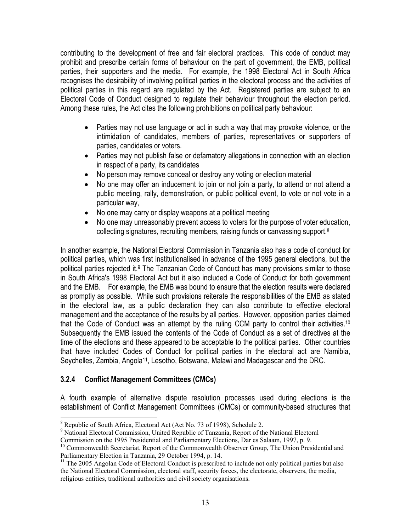contributing to the development of free and fair electoral practices. This code of conduct may prohibit and prescribe certain forms of behaviour on the part of government, the EMB, political parties, their supporters and the media. For example, the 1998 Electoral Act in South Africa recognises the desirability of involving political parties in the electoral process and the activities of political parties in this regard are regulated by the Act. Registered parties are subject to an Electoral Code of Conduct designed to regulate their behaviour throughout the election period. Among these rules, the Act cites the following prohibitions on political party behaviour:

- Parties may not use language or act in such a way that may provoke violence, or the intimidation of candidates, members of parties, representatives or supporters of parties, candidates or voters.
- Parties may not publish false or defamatory allegations in connection with an election in respect of a party, its candidates
- No person may remove conceal or destroy any voting or election material
- No one may offer an inducement to join or not join a party, to attend or not attend a public meeting, rally, demonstration, or public political event, to vote or not vote in a particular way,
- No one may carry or display weapons at a political meeting
- No one may unreasonably prevent access to voters for the purpose of voter education, collecting signatures, recruiting members, raising funds or canvassing support.<sup>8</sup>

In another example, the National Electoral Commission in Tanzania also has a code of conduct for political parties, which was first institutionalised in advance of the 1995 general elections, but the political parties rejected it.<sup>9</sup> The Tanzanian Code of Conduct has many provisions similar to those in South Africa's 1998 Electoral Act but it also included a Code of Conduct for both government and the EMB. For example, the EMB was bound to ensure that the election results were declared as promptly as possible. While such provisions reiterate the responsibilities of the EMB as stated in the electoral law, as a public declaration they can also contribute to effective electoral management and the acceptance of the results by all parties. However, opposition parties claimed that the Code of Conduct was an attempt by the ruling CCM party to control their activities.<sup>10</sup> Subsequently the EMB issued the contents of the Code of Conduct as a set of directives at the time of the elections and these appeared to be acceptable to the political parties. Other countries that have included Codes of Conduct for political parties in the electoral act are Namibia, Seychelles, Zambia, Angola<sup>11</sup>, Lesotho, Botswana, Malawi and Madagascar and the DRC.

# 3.2.4 Conflict Management Committees (CMCs)

A fourth example of alternative dispute resolution processes used during elections is the establishment of Conflict Management Committees (CMCs) or community-based structures that

<sup>&</sup>lt;sup>8</sup> Republic of South Africa, Electoral Act (Act No. 73 of 1998), Schedule 2.

<sup>&</sup>lt;sup>9</sup> National Electoral Commission, United Republic of Tanzania, Report of the National Electoral

Commission on the 1995 Presidential and Parliamentary Elections, Dar es Salaam, 1997, p. 9.

<sup>&</sup>lt;sup>10</sup> Commonwealth Secretariat, Report of the Commonwealth Observer Group, The Union Presidential and Parliamentary Election in Tanzania, 29 October 1994, p. 14.

 $11$  The 2005 Angolan Code of Electoral Conduct is prescribed to include not only political parties but also the National Electoral Commission, electoral staff, security forces, the electorate, observers, the media, religious entities, traditional authorities and civil society organisations.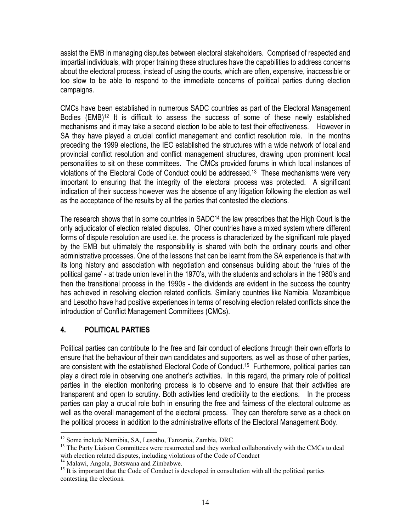assist the EMB in managing disputes between electoral stakeholders. Comprised of respected and impartial individuals, with proper training these structures have the capabilities to address concerns about the electoral process, instead of using the courts, which are often, expensive, inaccessible or too slow to be able to respond to the immediate concerns of political parties during election campaigns.

CMCs have been established in numerous SADC countries as part of the Electoral Management Bodies (EMB)<sup>12</sup> It is difficult to assess the success of some of these newly established mechanisms and it may take a second election to be able to test their effectiveness. However in SA they have played a crucial conflict management and conflict resolution role. In the months preceding the 1999 elections, the IEC established the structures with a wide network of local and provincial conflict resolution and conflict management structures, drawing upon prominent local personalities to sit on these committees. The CMCs provided forums in which local instances of violations of the Electoral Code of Conduct could be addressed.13 These mechanisms were very important to ensuring that the integrity of the electoral process was protected. A significant indication of their success however was the absence of any litigation following the election as well as the acceptance of the results by all the parties that contested the elections.

The research shows that in some countries in SADC<sup>14</sup> the law prescribes that the High Court is the only adjudicator of election related disputes. Other countries have a mixed system where different forms of dispute resolution are used i.e. the process is characterized by the significant role played by the EMB but ultimately the responsibility is shared with both the ordinary courts and other administrative processes. One of the lessons that can be learnt from the SA experience is that with its long history and association with negotiation and consensus building about the 'rules of the political game' - at trade union level in the 1970's, with the students and scholars in the 1980's and then the transitional process in the 1990s - the dividends are evident in the success the country has achieved in resolving election related conflicts. Similarly countries like Namibia, Mozambique and Lesotho have had positive experiences in terms of resolving election related conflicts since the introduction of Conflict Management Committees (CMCs).

# 4. POLITICAL PARTIES

Political parties can contribute to the free and fair conduct of elections through their own efforts to ensure that the behaviour of their own candidates and supporters, as well as those of other parties, are consistent with the established Electoral Code of Conduct.15 Furthermore, political parties can play a direct role in observing one another's activities. In this regard, the primary role of political parties in the election monitoring process is to observe and to ensure that their activities are transparent and open to scrutiny. Both activities lend credibility to the elections. In the process parties can play a crucial role both in ensuring the free and fairness of the electoral outcome as well as the overall management of the electoral process. They can therefore serve as a check on the political process in addition to the administrative efforts of the Electoral Management Body.

 $\overline{a}$ <sup>12</sup> Some include Namibia, SA, Lesotho, Tanzania, Zambia, DRC

<sup>&</sup>lt;sup>13</sup> The Party Liaison Committees were resurrected and they worked collaboratively with the CMCs to deal with election related disputes, including violations of the Code of Conduct

<sup>&</sup>lt;sup>14</sup> Malawi, Angola, Botswana and Zimbabwe.

 $15$  It is important that the Code of Conduct is developed in consultation with all the political parties contesting the elections.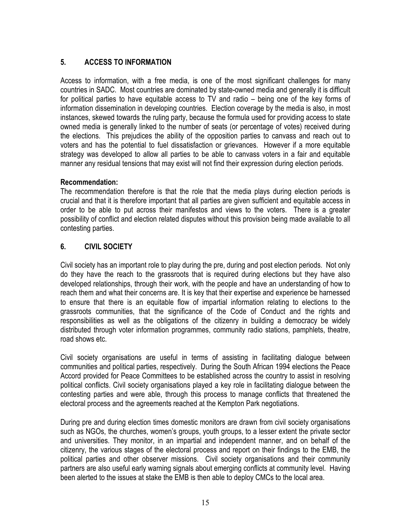# 5. ACCESS TO INFORMATION

Access to information, with a free media, is one of the most significant challenges for many countries in SADC. Most countries are dominated by state-owned media and generally it is difficult for political parties to have equitable access to TV and radio – being one of the key forms of information dissemination in developing countries. Election coverage by the media is also, in most instances, skewed towards the ruling party, because the formula used for providing access to state owned media is generally linked to the number of seats (or percentage of votes) received during the elections. This prejudices the ability of the opposition parties to canvass and reach out to voters and has the potential to fuel dissatisfaction or grievances. However if a more equitable strategy was developed to allow all parties to be able to canvass voters in a fair and equitable manner any residual tensions that may exist will not find their expression during election periods.

#### Recommendation:

The recommendation therefore is that the role that the media plays during election periods is crucial and that it is therefore important that all parties are given sufficient and equitable access in order to be able to put across their manifestos and views to the voters. There is a greater possibility of conflict and election related disputes without this provision being made available to all contesting parties.

#### 6. CIVIL SOCIETY

Civil society has an important role to play during the pre, during and post election periods. Not only do they have the reach to the grassroots that is required during elections but they have also developed relationships, through their work, with the people and have an understanding of how to reach them and what their concerns are. It is key that their expertise and experience be harnessed to ensure that there is an equitable flow of impartial information relating to elections to the grassroots communities, that the significance of the Code of Conduct and the rights and responsibilities as well as the obligations of the citizenry in building a democracy be widely distributed through voter information programmes, community radio stations, pamphlets, theatre, road shows etc.

Civil society organisations are useful in terms of assisting in facilitating dialogue between communities and political parties, respectively. During the South African 1994 elections the Peace Accord provided for Peace Committees to be established across the country to assist in resolving political conflicts. Civil society organisations played a key role in facilitating dialogue between the contesting parties and were able, through this process to manage conflicts that threatened the electoral process and the agreements reached at the Kempton Park negotiations.

During pre and during election times domestic monitors are drawn from civil society organisations such as NGOs, the churches, women's groups, youth groups, to a lesser extent the private sector and universities. They monitor, in an impartial and independent manner, and on behalf of the citizenry, the various stages of the electoral process and report on their findings to the EMB, the political parties and other observer missions. Civil society organisations and their community partners are also useful early warning signals about emerging conflicts at community level. Having been alerted to the issues at stake the EMB is then able to deploy CMCs to the local area.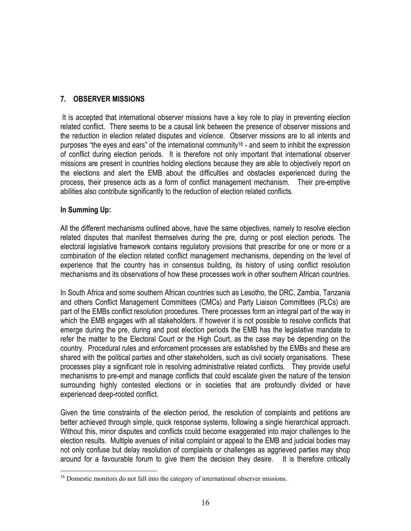#### 7. OBSERVER MISSIONS

 It is accepted that international observer missions have a key role to play in preventing election related conflict. There seems to be a causal link between the presence of observer missions and the reduction in election related disputes and violence. Observer missions are to all intents and purposes "the eyes and ears" of the international community<sup>16</sup> - and seem to inhibit the expression of conflict during election periods. It is therefore not only important that international observer missions are present in countries holding elections because they are able to objectively report on the elections and alert the EMB about the difficulties and obstacles experienced during the process, their presence acts as a form of conflict management mechanism. Their pre-emptive abilities also contribute significantly to the reduction of election related conflicts.

#### In Summing Up:

All the different mechanisms outlined above, have the same objectives, namely to resolve election related disputes that manifest themselves during the pre, during or post election periods. The electoral legislative framework contains regulatory provisions that prescribe for one or more or a combination of the election related conflict management mechanisms, depending on the level of experience that the country has in consensus building, its history of using conflict resolution mechanisms and its observations of how these processes work in other southern African countries.

In South Africa and some southern African countries such as Lesotho, the DRC, Zambia, Tanzania and others Conflict Management Committees (CMCs) and Party Liaison Committees (PLCs) are part of the EMBs conflict resolution procedures. There processes form an integral part of the way in which the EMB engages with all stakeholders. If however it is not possible to resolve conflicts that emerge during the pre, during and post election periods the EMB has the legislative mandate to refer the matter to the Electoral Court or the High Court, as the case may be depending on the country. Procedural rules and enforcement processes are established by the EMBs and these are shared with the political parties and other stakeholders, such as civil society organisations. These processes play a significant role in resolving administrative related conflicts. They provide useful mechanisms to pre-empt and manage conflicts that could escalate given the nature of the tension surrounding highly contested elections or in societies that are profoundly divided or have experienced deep-rooted conflict.

Given the time constraints of the election period, the resolution of complaints and petitions are better achieved through simple, quick response systems, following a single hierarchical approach. Without this, minor disputes and conflicts could become exaggerated into major challenges to the election results. Multiple avenues of initial complaint or appeal to the EMB and judicial bodies may not only confuse but delay resolution of complaints or challenges as aggrieved parties may shop around for a favourable forum to give them the decision they desire. It is therefore critically

 $\overline{a}$ <sup>16</sup> Domestic monitors do not fall into the category of international observer missions.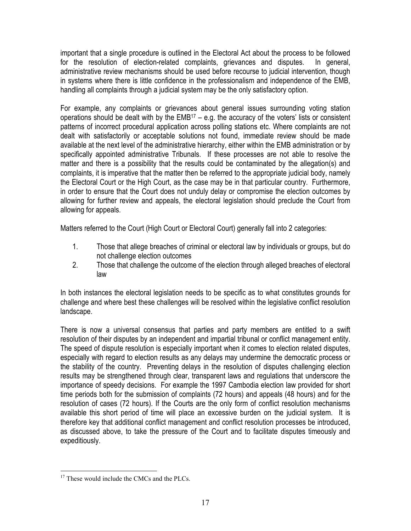important that a single procedure is outlined in the Electoral Act about the process to be followed for the resolution of election-related complaints, grievances and disputes. In general, administrative review mechanisms should be used before recourse to judicial intervention, though in systems where there is little confidence in the professionalism and independence of the EMB, handling all complaints through a judicial system may be the only satisfactory option.

For example, any complaints or grievances about general issues surrounding voting station operations should be dealt with by the  $EMB^{17} - e.g.$  the accuracy of the voters' lists or consistent patterns of incorrect procedural application across polling stations etc. Where complaints are not dealt with satisfactorily or acceptable solutions not found, immediate review should be made available at the next level of the administrative hierarchy, either within the EMB administration or by specifically appointed administrative Tribunals. If these processes are not able to resolve the matter and there is a possibility that the results could be contaminated by the allegation(s) and complaints, it is imperative that the matter then be referred to the appropriate judicial body, namely the Electoral Court or the High Court, as the case may be in that particular country. Furthermore, in order to ensure that the Court does not unduly delay or compromise the election outcomes by allowing for further review and appeals, the electoral legislation should preclude the Court from allowing for appeals.

Matters referred to the Court (High Court or Electoral Court) generally fall into 2 categories:

- 1. Those that allege breaches of criminal or electoral law by individuals or groups, but do not challenge election outcomes
- 2. Those that challenge the outcome of the election through alleged breaches of electoral law

In both instances the electoral legislation needs to be specific as to what constitutes grounds for challenge and where best these challenges will be resolved within the legislative conflict resolution landscape.

There is now a universal consensus that parties and party members are entitled to a swift resolution of their disputes by an independent and impartial tribunal or conflict management entity. The speed of dispute resolution is especially important when it comes to election related disputes, especially with regard to election results as any delays may undermine the democratic process or the stability of the country. Preventing delays in the resolution of disputes challenging election results may be strengthened through clear, transparent laws and regulations that underscore the importance of speedy decisions. For example the 1997 Cambodia election law provided for short time periods both for the submission of complaints (72 hours) and appeals (48 hours) and for the resolution of cases (72 hours). If the Courts are the only form of conflict resolution mechanisms available this short period of time will place an excessive burden on the judicial system. It is therefore key that additional conflict management and conflict resolution processes be introduced, as discussed above, to take the pressure of the Court and to facilitate disputes timeously and expeditiously.

 $\overline{a}$ <sup>17</sup> These would include the CMCs and the PLCs.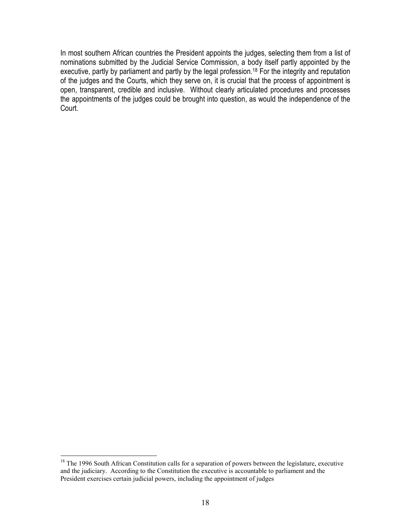In most southern African countries the President appoints the judges, selecting them from a list of nominations submitted by the Judicial Service Commission, a body itself partly appointed by the executive, partly by parliament and partly by the legal profession.<sup>18</sup> For the integrity and reputation of the judges and the Courts, which they serve on, it is crucial that the process of appointment is open, transparent, credible and inclusive. Without clearly articulated procedures and processes the appointments of the judges could be brought into question, as would the independence of the Court.

 $\overline{a}$  $18$  The 1996 South African Constitution calls for a separation of powers between the legislature, executive and the judiciary. According to the Constitution the executive is accountable to parliament and the President exercises certain judicial powers, including the appointment of judges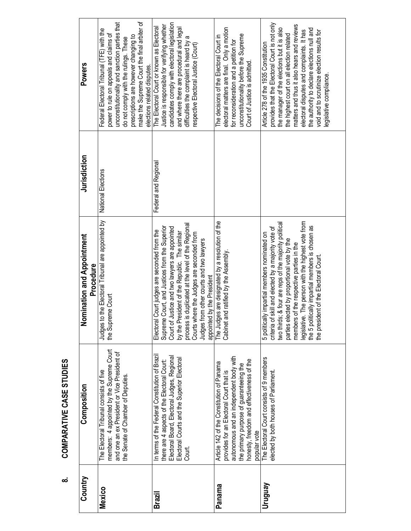| こ<br>く<br>く |  |
|-------------|--|
|             |  |
| I           |  |
|             |  |
|             |  |
|             |  |
| Ξ           |  |
|             |  |
| ï           |  |
| í           |  |
|             |  |
|             |  |
|             |  |
| α<br>í      |  |

 $\dot{\infty}$ 

| Country | Composition                                                                                                                                                                                                                             | Nomination and Appointment<br>Procedure                                                                                                                                                                                                                                                                                                                                                                   | Jurisdiction         | <b>Powers</b>                                                                                                                                                                                                                                                                                                                                                                                         |
|---------|-----------------------------------------------------------------------------------------------------------------------------------------------------------------------------------------------------------------------------------------|-----------------------------------------------------------------------------------------------------------------------------------------------------------------------------------------------------------------------------------------------------------------------------------------------------------------------------------------------------------------------------------------------------------|----------------------|-------------------------------------------------------------------------------------------------------------------------------------------------------------------------------------------------------------------------------------------------------------------------------------------------------------------------------------------------------------------------------------------------------|
| Mexico  | members: 4 appointed by the Supreme Court<br>and one an ex President or Vice President of<br>The Electoral Tribunal consists of five<br>the Senate of Chamber of Deputies.                                                              | to the Electoral Tribunal are appointed by<br>the Supreme Court<br>Judges t                                                                                                                                                                                                                                                                                                                               | National Elections   | make the Supreme Court the final arbiter of<br>unconstitutionality and sanction parties that<br>Federal Electoral Tribunal (TFE) with the<br>power to rule on appeals and claims of<br>prescriptions are however changing to<br>do not comply with the rulings. These<br>elections related disputes.                                                                                                  |
| Brazil  | In terms of the Federal Constitution of Brazil<br>Electoral Board, Electoral Judges, Regional<br>Electoral Courts and the Superior Electoral<br>there are 4 aspects of the Electoral Court:<br>Court.                                   | process is duplicated at the level of the Regional<br>Supreme Court, and Justices from the Superior<br>Court of Justice and two lawyers are appointed<br>Court judges are seconded from the<br>by the President of the Republic. The similar<br>Courts where the Judges are seconded from<br>from other courts and two lawyers<br>appointed by the President<br>Electoral<br>Judges 1                     | Federal and Regional | candidates comply with electoral legislation<br>Justice is responsible for verifying whether<br>The Electoral Court or known as Electoral<br>and where there are procedural and legal<br>difficulties the complaint is heard by a<br>respective Electoral Justice (Court)                                                                                                                             |
| Panama  | autonomous and an independent body with<br>honesty, freedom and effectiveness of the<br>Article 142 of the Constitution of Panama<br>the primary purpose of guaranteeing the<br>provides for an Electoral Court that is<br>popular vote | The Judges are designated by a resolution of the<br>and ratified by the Assembly<br>Cabinet                                                                                                                                                                                                                                                                                                               |                      | electoral matters are final. Only a motion<br>unconstitutionality before the Supreme<br>The decisions of the Electoral Court in<br>for reconsideration and a petition for<br>Court of Justice is admitted.                                                                                                                                                                                            |
| Venbnun | The Electoral Court consists of 9 members<br>elected by both houses of Parliament.                                                                                                                                                      | legislative. The person with the highest vote from<br>two thirds; & four are reps of the majority political<br>the 5 politically impartial members is chosen as<br>criteria of skill and elected by a majority vote of<br>5 politically impartial members nominated on<br>parties elected by proportional vote by the<br>members of the respective parties in the<br>the president of the Electoral Court |                      | provides that the Electoral Court is not only<br>matters and thus it also hears and reviews<br>the manager of the elections but it is also<br>the authority to declare elections null and<br>electoral disputes and complaints. It has<br>void and to scrutinize election results for<br>the highest court on all election related<br>Article 278 of the 1935 Constitution<br>legislative compliance. |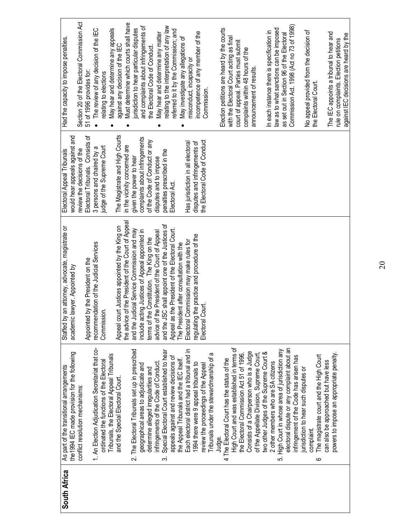| South Africa | As part of the transitional arrangements            | an attorney, advocate, magistrate or<br>Staffed by | Electoral Appeal Tribunals        | Had the capacity to impose penalties.                                     |
|--------------|-----------------------------------------------------|----------------------------------------------------|-----------------------------------|---------------------------------------------------------------------------|
|              | the1994 IEC made provision for the following        | lawyer. Appointed by<br>academic                   | would hear appeals against and    |                                                                           |
|              | conflict resolution mechanisms:                     |                                                    | review the decisions of the       | Section 20 of the Electoral Commission Act                                |
|              |                                                     | by the President on the<br>Appointed               | Electoral Tribunals. Consists of  | 51 of 1996 provides for                                                   |
|              | 1. An Election Adjudication Secretariat that co-    | recommendation of the Judicial Services            | 3 persons and chaired by a        | • The review of any decision of the IEC                                   |
|              | ordinated the functions of the Electoral            | Commission.                                        | judge of the Supreme Court        | relating to elections                                                     |
|              | Tribunals, the Electoral Appeal Tribunals           |                                                    |                                   | May hear and determine any appeals                                        |
|              | and the Special Electoral Court.                    | Appeal court Justices appointed by the King on     | The Magistrate and High Courts    | against any decision of the IEC                                           |
|              |                                                     | the advice of the President of the Court of Appeal | in the vicinity concerned are     | Must determine which courts shall have                                    |
|              | 2. The Electoral Tribunals set up in prescribed     | and the Judicial Service Commission and may        | given the power to hear           | urisdiction to hear particular disputes                                   |
|              | geographical areas to adjudicate and                | include acting Justices of Appeal appointed in     | complaints about infringements    | and complaints about infringements of                                     |
|              | determine alleged irregularities and                | terms of the Constitution. The King on the         | of the Code of Conduct or any     | the Electoral Code of Conduct.                                            |
|              | infringements of the Code of Conduct                | advice of the President of the Court of Appeal     | disputes and to impose            | May hear and determine any matter                                         |
|              | Special Electoral Court established to hear<br>က    | and the JSC shall appoint one of the Justices of   | penalties prescribed in the       | relating to the interpretation of any law                                 |
|              | appeals against and review decisions of             | Appeal as the President of the Electoral Court.    | Electoral Act.                    | referred to it by the Commission; and                                     |
|              | the Appeal Tribunals and the IEC itself.            | The President after consultation with the          |                                   | May investigate any allegations of                                        |
|              | Each electoral district had a tribunal and in       | Electoral Commission may make rules for            | Has jurisdiction in all electoral | misconduct, incapacity or                                                 |
|              | 1994 there were 9 appeal tribunals to               | regulating the practice and procedure of the       | disputes and infringements of     | incompetence of any member of the                                         |
|              | review the proceedings of the Appeal                | Court.<br>Electoral <sup></sup>                    | the Electoral Code of Conduct     | Commission.                                                               |
|              | Tribunals under the stewardmanship of a             |                                                    |                                   |                                                                           |
|              | Judge.                                              |                                                    |                                   |                                                                           |
|              | The Electoral Court has the status of the<br>4      |                                                    |                                   | Election petitions are heard by the courts                                |
|              | High Court and was established in terms of          |                                                    |                                   | with the Electoral Court acting as final                                  |
|              | the Electoral Commission Act 51 of 1996.            |                                                    |                                   | court of appeal. Parties must submit<br>complaints within 48 hours of the |
|              | Consists of a Chairperson who is a Judge            |                                                    |                                   | announcement of results.                                                  |
|              | of the Appellate Division, Supreme Court,           |                                                    |                                   |                                                                           |
|              | two other Judges of the Supreme Court &             |                                                    |                                   | In each instance there is specification in                                |
|              | 2 other members who are SA citizens                 |                                                    |                                   | law as to what sanctions can be imposed                                   |
|              | High Court in whose area of jurisdiction any<br>ιó, |                                                    |                                   | as set out in Section 96 of the Electoral                                 |
|              | electoral dispute or any complaint about an         |                                                    |                                   |                                                                           |
|              | infringement of the Code has arisen has             |                                                    |                                   | Commission Act. 1998 (Act no 73 of 1998)                                  |
|              | jurisdiction to hear such disputes or               |                                                    |                                   |                                                                           |
|              | complaint.                                          |                                                    |                                   | No appeal provided from the decision of                                   |
|              | The magistrate court and the High Court<br>ဖ        |                                                    |                                   | the Electoral Court.                                                      |
|              | can also be approached but have less                |                                                    |                                   |                                                                           |
|              | powers to impose an appropriate penalty.            |                                                    |                                   | The IEC appoints a tribunal to hear and                                   |
|              |                                                     |                                                    |                                   | rule on complaints. Election petitions                                    |
|              |                                                     |                                                    |                                   | against IEC decisions are heard by the                                    |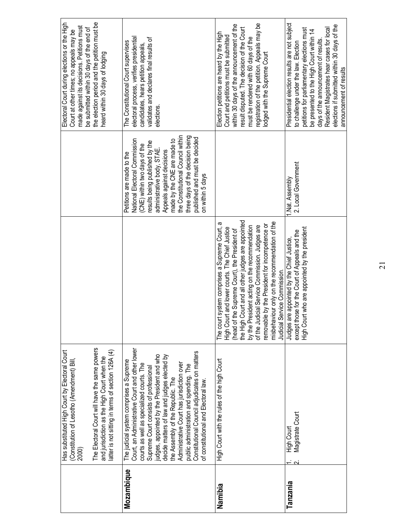|            | The Electoral Court will have the same powers<br>Has substituted High Court by Electoral Court<br>and jurisdiction as the High Court when the<br>(Constitution of Lesotho (Amendment) Bill<br>2000)                                                                                  |                                                                                                                                                                                                                                                                                                                                                                                                                      |                                                                                                                                                                                        | the election period and the petition must be<br>Electoral Court during elections or the High<br>made against its decisions. Petitions must<br>be submitted within 30 days of the end of<br>Court at other times; no appeals may be<br>heard within 30 days of lodging                                                                           |
|------------|--------------------------------------------------------------------------------------------------------------------------------------------------------------------------------------------------------------------------------------------------------------------------------------|----------------------------------------------------------------------------------------------------------------------------------------------------------------------------------------------------------------------------------------------------------------------------------------------------------------------------------------------------------------------------------------------------------------------|----------------------------------------------------------------------------------------------------------------------------------------------------------------------------------------|-------------------------------------------------------------------------------------------------------------------------------------------------------------------------------------------------------------------------------------------------------------------------------------------------------------------------------------------------|
| Mozambique | Court, an Administrative Court and other lower<br>latter is not sitting in terms of section 126A (4)<br>judges, appointed by the President and who<br>The judicial system comprises a Supreme<br>courts as well as specialized courts. The<br>Supreme Court consists of professional |                                                                                                                                                                                                                                                                                                                                                                                                                      | National Electoral Commission<br>results being published by the<br>(CNE) within two days of the<br>administrative body, STAE<br>Petitions are made to the                              | electoral process, verifies presidential<br>validates and declares final results of<br>The Constitutional Court supervises<br>candidates, hears petition appeals,<br>elections.                                                                                                                                                                 |
|            | Constitutional Council adjudicates on matters<br>decide matters of law and judges elected by<br>Administrative Court has jurisdiction over<br>public administration and spending. The<br>the Assembly of the Republic. The<br>of constitutional and Electoral law.                   |                                                                                                                                                                                                                                                                                                                                                                                                                      | the Constitutional Council within<br>three days of the decision being<br>published and must be decided<br>made by the CNE are made to<br>Appeals against decisions<br>on within 5 days |                                                                                                                                                                                                                                                                                                                                                 |
| Namibia    | High Court with the rules of the high Court                                                                                                                                                                                                                                          | the High Court and all other judges are appointed<br>misbehaviour only on the recommendation of the<br>æ<br>le by the President for incompetence or<br>by the President acting on the recommendation<br>of the Judicial Service Commission. Judges are<br>High Court and lower courts. The Chief Justice<br>The court system comprises a Supreme Court,<br>(head of the Supreme Court), the President of<br>removabl |                                                                                                                                                                                        | registration of the petition. Appeals may be<br>within 30 days of the announcement of the<br>result disputed. The decision of the Court<br>Election petitions are heard by the High<br>Court and petitions must be submitted<br>must be rendered with 60 days of the<br>lodged with the Supreme Court                                           |
| Tanzania   | Magistrate Court<br>High Court                                                                                                                                                                                                                                                       | High Court who are appointed by the president<br>except those for the Court of Appeals and the<br>Judges are appointed by the Chief Justice,<br>Judicial Service Commission.                                                                                                                                                                                                                                         | 2. Local Government<br>Nat. Assembly                                                                                                                                                   | Presidential election results are not subject<br>elections if submitted within 30 days of the<br>Resident Magistrates hear cases for local<br>petitions for parliamentary elections must<br>be presented to the High Court within 14<br>days of the announcement of results.<br>to challenge under the law. Election<br>announcement of results |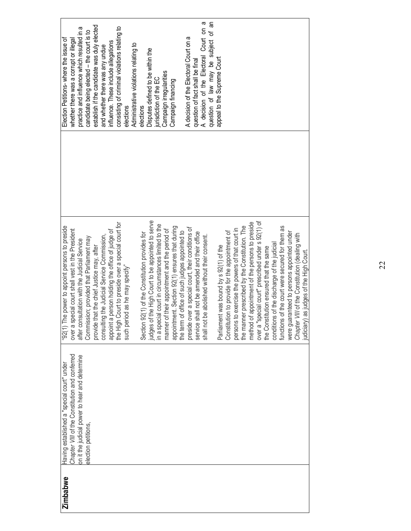| <b>Zimbabwe</b> | Having established a "special court" under     | power to appoint persons to preside<br>"92(1) The                                            | Election Petitions-where the issue of         |  |
|-----------------|------------------------------------------------|----------------------------------------------------------------------------------------------|-----------------------------------------------|--|
|                 | Chapter VIII of the Constitution and conferred | over a special court shall vest in the President                                             | whether there was a corrupt or illegal        |  |
|                 | on it the judicial power to hear and determine | after consultation with the Judicial Service                                                 | practice and influence which resulted in a    |  |
|                 | election petitions,                            | Commission; provided that Parliament may                                                     | candidate being elected - the court is to     |  |
|                 |                                                | provide that the chief Justice may, after                                                    | establish if the candidate was duly elected   |  |
|                 |                                                | the Judicial Service Commission,<br>consulting                                               | and whether there was any undue               |  |
|                 |                                                | appoint a person holding the office of judge of                                              | influence. These include allegations          |  |
|                 |                                                | the High Court to preside over a special court for                                           | consisting of criminal violations relating to |  |
|                 |                                                | such period as he may specify"                                                               | elections                                     |  |
|                 |                                                |                                                                                              | Administrative violations relating to         |  |
|                 |                                                | (1) of the Constitution provides for<br>Section 92                                           | elections                                     |  |
|                 |                                                | judges of the High Court to be appointed to serve                                            | Disputes defined to be within the             |  |
|                 |                                                | court in circumstances limited to the<br>in a special                                        | jurisdiction of the EC                        |  |
|                 |                                                | their appointment and the period of<br>manner of                                             | Campaign irregularities                       |  |
|                 |                                                | appointment. Section 92(1) ensures that during                                               | Campaign financing                            |  |
|                 |                                                | the term of office of such judges appointed to                                               |                                               |  |
|                 |                                                | preside over a special court, their conditions of                                            | A decision of the Electoral Court on a        |  |
|                 |                                                | service shall not be amended and their office                                                | question of fact shall be final               |  |
|                 |                                                | shall not be abolished without their consent.                                                | A decision of the Electoral Court on a        |  |
|                 |                                                |                                                                                              | question of law may be subject of an          |  |
|                 |                                                | Parliament was bound by s 92(1) of the                                                       | appeal to the Supreme Court                   |  |
|                 |                                                | Constitution to provide for the appointment of                                               |                                               |  |
|                 |                                                | persons to exercise the powers of that court in                                              |                                               |  |
|                 |                                                | the manner prescribed by the Constitution. The                                               |                                               |  |
|                 |                                                | method of appointment of the persons to preside                                              |                                               |  |
|                 |                                                | over a "special court" prescribed under s 92(1) of<br>the Constitution ensured that the same |                                               |  |
|                 |                                                |                                                                                              |                                               |  |
|                 |                                                | conditions of the discharge of the judicial                                                  |                                               |  |
|                 |                                                | functions of the court were secured for them as                                              |                                               |  |
|                 |                                                | were guaranteed to persons appointed under                                                   |                                               |  |
|                 |                                                | Chapter VIII of the Constitution (dealing with                                               |                                               |  |
|                 |                                                | judiciary) as judges of the High Court.                                                      |                                               |  |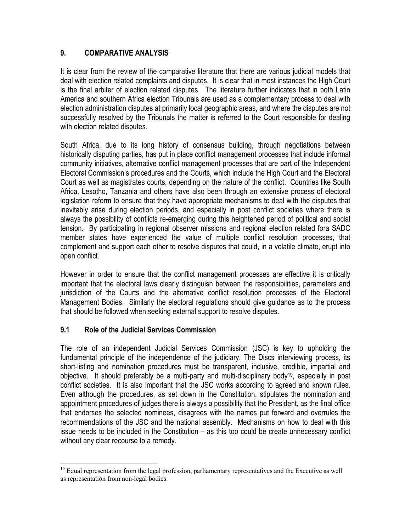#### 9. COMPARATIVE ANALYSIS

It is clear from the review of the comparative literature that there are various judicial models that deal with election related complaints and disputes. It is clear that in most instances the High Court is the final arbiter of election related disputes. The literature further indicates that in both Latin America and southern Africa election Tribunals are used as a complementary process to deal with election administration disputes at primarily local geographic areas, and where the disputes are not successfully resolved by the Tribunals the matter is referred to the Court responsible for dealing with election related disputes.

South Africa, due to its long history of consensus building, through negotiations between historically disputing parties, has put in place conflict management processes that include informal community initiatives, alternative conflict management processes that are part of the Independent Electoral Commission's procedures and the Courts, which include the High Court and the Electoral Court as well as magistrates courts, depending on the nature of the conflict. Countries like South Africa, Lesotho, Tanzania and others have also been through an extensive process of electoral legislation reform to ensure that they have appropriate mechanisms to deal with the disputes that inevitably arise during election periods, and especially in post conflict societies where there is always the possibility of conflicts re-emerging during this heightened period of political and social tension. By participating in regional observer missions and regional election related fora SADC member states have experienced the value of multiple conflict resolution processes, that complement and support each other to resolve disputes that could, in a volatile climate, erupt into open conflict.

However in order to ensure that the conflict management processes are effective it is critically important that the electoral laws clearly distinguish between the responsibilities, parameters and jurisdiction of the Courts and the alternative conflict resolution processes of the Electoral Management Bodies. Similarly the electoral regulations should give guidance as to the process that should be followed when seeking external support to resolve disputes.

# 9.1 Role of the Judicial Services Commission

l

The role of an independent Judicial Services Commission (JSC) is key to upholding the fundamental principle of the independence of the judiciary. The Discs interviewing process, its short-listing and nomination procedures must be transparent, inclusive, credible, impartial and objective. It should preferably be a multi-party and multi-disciplinary body19, especially in post conflict societies. It is also important that the JSC works according to agreed and known rules. Even although the procedures, as set down in the Constitution, stipulates the nomination and appointment procedures of judges there is always a possibility that the President, as the final office that endorses the selected nominees, disagrees with the names put forward and overrules the recommendations of the JSC and the national assembly. Mechanisms on how to deal with this issue needs to be included in the Constitution – as this too could be create unnecessary conflict without any clear recourse to a remedy.

<sup>&</sup>lt;sup>19</sup> Equal representation from the legal profession, parliamentary representatives and the Executive as well as representation from non-legal bodies.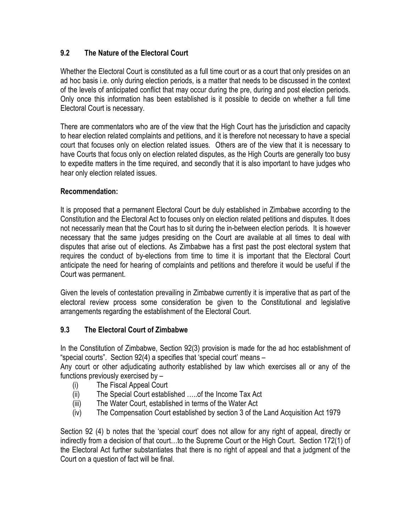# 9.2 The Nature of the Electoral Court

Whether the Electoral Court is constituted as a full time court or as a court that only presides on an ad hoc basis i.e. only during election periods, is a matter that needs to be discussed in the context of the levels of anticipated conflict that may occur during the pre, during and post election periods. Only once this information has been established is it possible to decide on whether a full time Electoral Court is necessary.

There are commentators who are of the view that the High Court has the jurisdiction and capacity to hear election related complaints and petitions, and it is therefore not necessary to have a special court that focuses only on election related issues. Others are of the view that it is necessary to have Courts that focus only on election related disputes, as the High Courts are generally too busy to expedite matters in the time required, and secondly that it is also important to have judges who hear only election related issues.

#### Recommendation:

It is proposed that a permanent Electoral Court be duly established in Zimbabwe according to the Constitution and the Electoral Act to focuses only on election related petitions and disputes. It does not necessarily mean that the Court has to sit during the in-between election periods. It is however necessary that the same judges presiding on the Court are available at all times to deal with disputes that arise out of elections. As Zimbabwe has a first past the post electoral system that requires the conduct of by-elections from time to time it is important that the Electoral Court anticipate the need for hearing of complaints and petitions and therefore it would be useful if the Court was permanent.

Given the levels of contestation prevailing in Zimbabwe currently it is imperative that as part of the electoral review process some consideration be given to the Constitutional and legislative arrangements regarding the establishment of the Electoral Court.

# 9.3 The Electoral Court of Zimbabwe

In the Constitution of Zimbabwe, Section 92(3) provision is made for the ad hoc establishment of "special courts". Section 92(4) a specifies that 'special court' means –

Any court or other adjudicating authority established by law which exercises all or any of the functions previously exercised by –

- (i) The Fiscal Appeal Court
- (ii) The Special Court established …..of the Income Tax Act
- (iii) The Water Court, established in terms of the Water Act
- (iv) The Compensation Court established by section 3 of the Land Acquisition Act 1979

Section 92 (4) b notes that the 'special court' does not allow for any right of appeal, directly or indirectly from a decision of that court…to the Supreme Court or the High Court. Section 172(1) of the Electoral Act further substantiates that there is no right of appeal and that a judgment of the Court on a question of fact will be final.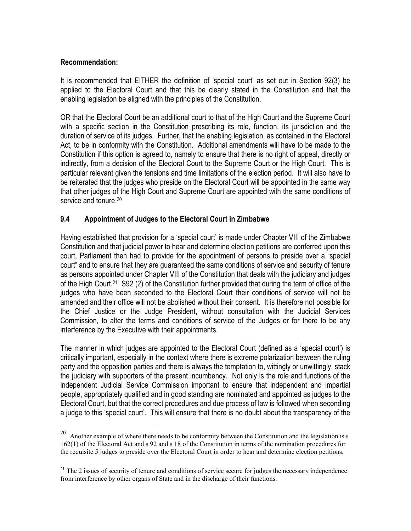#### Recommendation:

It is recommended that EITHER the definition of 'special court' as set out in Section 92(3) be applied to the Electoral Court and that this be clearly stated in the Constitution and that the enabling legislation be aligned with the principles of the Constitution.

OR that the Electoral Court be an additional court to that of the High Court and the Supreme Court with a specific section in the Constitution prescribing its role, function, its jurisdiction and the duration of service of its judges. Further, that the enabling legislation, as contained in the Electoral Act, to be in conformity with the Constitution. Additional amendments will have to be made to the Constitution if this option is agreed to, namely to ensure that there is no right of appeal, directly or indirectly, from a decision of the Electoral Court to the Supreme Court or the High Court. This is particular relevant given the tensions and time limitations of the election period. It will also have to be reiterated that the judges who preside on the Electoral Court will be appointed in the same way that other judges of the High Court and Supreme Court are appointed with the same conditions of service and tenure.<sup>20</sup>

#### 9.4 Appointment of Judges to the Electoral Court in Zimbabwe

Having established that provision for a 'special court' is made under Chapter VIII of the Zimbabwe Constitution and that judicial power to hear and determine election petitions are conferred upon this court, Parliament then had to provide for the appointment of persons to preside over a "special court" and to ensure that they are guaranteed the same conditions of service and security of tenure as persons appointed under Chapter VIII of the Constitution that deals with the judiciary and judges of the High Court.21 S92 (2) of the Constitution further provided that during the term of office of the judges who have been seconded to the Electoral Court their conditions of service will not be amended and their office will not be abolished without their consent. It is therefore not possible for the Chief Justice or the Judge President, without consultation with the Judicial Services Commission, to alter the terms and conditions of service of the Judges or for there to be any interference by the Executive with their appointments.

The manner in which judges are appointed to the Electoral Court (defined as a 'special court') is critically important, especially in the context where there is extreme polarization between the ruling party and the opposition parties and there is always the temptation to, wittingly or unwittingly, stack the judiciary with supporters of the present incumbency. Not only is the role and functions of the independent Judicial Service Commission important to ensure that independent and impartial people, appropriately qualified and in good standing are nominated and appointed as judges to the Electoral Court, but that the correct procedures and due process of law is followed when seconding a judge to this 'special court'. This will ensure that there is no doubt about the transparency of the

 $\frac{1}{20}$  Another example of where there needs to be conformity between the Constitution and the legislation is s 162(1) of the Electoral Act and s 92 and s 18 of the Constitution in terms of the nomination procedures for the requisite 5 judges to preside over the Electoral Court in order to hear and determine election petitions.

 $21$  The 2 issues of security of tenure and conditions of service secure for judges the necessary independence from interference by other organs of State and in the discharge of their functions.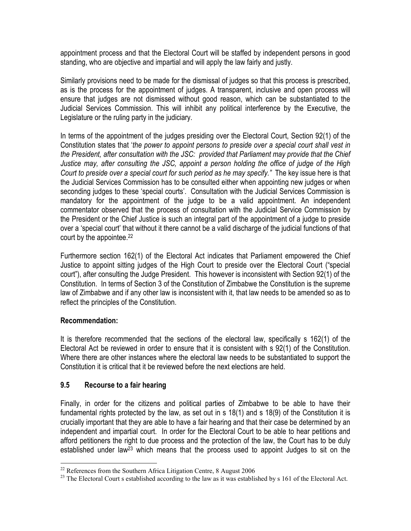appointment process and that the Electoral Court will be staffed by independent persons in good standing, who are objective and impartial and will apply the law fairly and justly.

Similarly provisions need to be made for the dismissal of judges so that this process is prescribed, as is the process for the appointment of judges. A transparent, inclusive and open process will ensure that judges are not dismissed without good reason, which can be substantiated to the Judicial Services Commission. This will inhibit any political interference by the Executive, the Legislature or the ruling party in the judiciary.

In terms of the appointment of the judges presiding over the Electoral Court, Section 92(1) of the Constitution states that 'the power to appoint persons to preside over a special court shall vest in the President, after consultation with the JSC: provided that Parliament may provide that the Chief Justice may, after consulting the JSC, appoint a person holding the office of judge of the High Court to preside over a special court for such period as he may specify." The key issue here is that the Judicial Services Commission has to be consulted either when appointing new judges or when seconding judges to these 'special courts'. Consultation with the Judicial Services Commission is mandatory for the appointment of the judge to be a valid appointment. An independent commentator observed that the process of consultation with the Judicial Service Commission by the President or the Chief Justice is such an integral part of the appointment of a judge to preside over a 'special court' that without it there cannot be a valid discharge of the judicial functions of that court by the appointee.<sup>22</sup>

Furthermore section 162(1) of the Electoral Act indicates that Parliament empowered the Chief Justice to appoint sitting judges of the High Court to preside over the Electoral Court ("special court"), after consulting the Judge President. This however is inconsistent with Section 92(1) of the Constitution. In terms of Section 3 of the Constitution of Zimbabwe the Constitution is the supreme law of Zimbabwe and if any other law is inconsistent with it, that law needs to be amended so as to reflect the principles of the Constitution.

#### Recommendation:

It is therefore recommended that the sections of the electoral law, specifically s 162(1) of the Electoral Act be reviewed in order to ensure that it is consistent with s 92(1) of the Constitution. Where there are other instances where the electoral law needs to be substantiated to support the Constitution it is critical that it be reviewed before the next elections are held.

# 9.5 Recourse to a fair hearing

Finally, in order for the citizens and political parties of Zimbabwe to be able to have their fundamental rights protected by the law, as set out in s 18(1) and s 18(9) of the Constitution it is crucially important that they are able to have a fair hearing and that their case be determined by an independent and impartial court. In order for the Electoral Court to be able to hear petitions and afford petitioners the right to due process and the protection of the law, the Court has to be duly established under law<sup>23</sup> which means that the process used to appoint Judges to sit on the

l  $22$  References from the Southern Africa Litigation Centre, 8 August 2006

<sup>&</sup>lt;sup>23</sup> The Electoral Court s established according to the law as it was established by s 161 of the Electoral Act.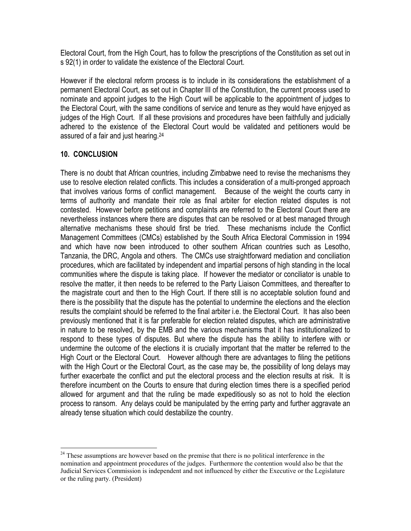Electoral Court, from the High Court, has to follow the prescriptions of the Constitution as set out in s 92(1) in order to validate the existence of the Electoral Court.

However if the electoral reform process is to include in its considerations the establishment of a permanent Electoral Court, as set out in Chapter III of the Constitution, the current process used to nominate and appoint judges to the High Court will be applicable to the appointment of judges to the Electoral Court, with the same conditions of service and tenure as they would have enjoyed as judges of the High Court. If all these provisions and procedures have been faithfully and judicially adhered to the existence of the Electoral Court would be validated and petitioners would be assured of a fair and just hearing.<sup>24</sup>

#### 10. CONCLUSION

There is no doubt that African countries, including Zimbabwe need to revise the mechanisms they use to resolve election related conflicts. This includes a consideration of a multi-pronged approach that involves various forms of conflict management. Because of the weight the courts carry in terms of authority and mandate their role as final arbiter for election related disputes is not contested. However before petitions and complaints are referred to the Electoral Court there are nevertheless instances where there are disputes that can be resolved or at best managed through alternative mechanisms these should first be tried. These mechanisms include the Conflict Management Committees (CMCs) established by the South Africa Electoral Commission in 1994 and which have now been introduced to other southern African countries such as Lesotho, Tanzania, the DRC, Angola and others. The CMCs use straightforward mediation and conciliation procedures, which are facilitated by independent and impartial persons of high standing in the local communities where the dispute is taking place. If however the mediator or conciliator is unable to resolve the matter, it then needs to be referred to the Party Liaison Committees, and thereafter to the magistrate court and then to the High Court. If there still is no acceptable solution found and there is the possibility that the dispute has the potential to undermine the elections and the election results the complaint should be referred to the final arbiter i.e. the Electoral Court. It has also been previously mentioned that it is far preferable for election related disputes, which are administrative in nature to be resolved, by the EMB and the various mechanisms that it has institutionalized to respond to these types of disputes. But where the dispute has the ability to interfere with or undermine the outcome of the elections it is crucially important that the matter be referred to the High Court or the Electoral Court. However although there are advantages to filing the petitions with the High Court or the Electoral Court, as the case may be, the possibility of long delays may further exacerbate the conflict and put the electoral process and the election results at risk. It is therefore incumbent on the Courts to ensure that during election times there is a specified period allowed for argument and that the ruling be made expeditiously so as not to hold the election process to ransom. Any delays could be manipulated by the erring party and further aggravate an already tense situation which could destabilize the country.

 $\overline{a}$  $24$  These assumptions are however based on the premise that there is no political interference in the nomination and appointment procedures of the judges. Furthermore the contention would also be that the Judicial Services Commission is independent and not influenced by either the Executive or the Legislature or the ruling party. (President)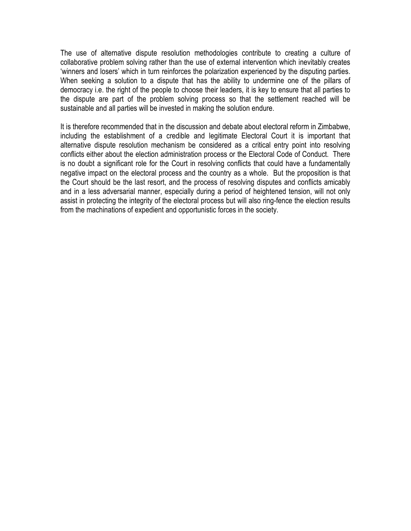The use of alternative dispute resolution methodologies contribute to creating a culture of collaborative problem solving rather than the use of external intervention which inevitably creates 'winners and losers' which in turn reinforces the polarization experienced by the disputing parties. When seeking a solution to a dispute that has the ability to undermine one of the pillars of democracy i.e. the right of the people to choose their leaders, it is key to ensure that all parties to the dispute are part of the problem solving process so that the settlement reached will be sustainable and all parties will be invested in making the solution endure.

It is therefore recommended that in the discussion and debate about electoral reform in Zimbabwe, including the establishment of a credible and legitimate Electoral Court it is important that alternative dispute resolution mechanism be considered as a critical entry point into resolving conflicts either about the election administration process or the Electoral Code of Conduct. There is no doubt a significant role for the Court in resolving conflicts that could have a fundamentally negative impact on the electoral process and the country as a whole. But the proposition is that the Court should be the last resort, and the process of resolving disputes and conflicts amicably and in a less adversarial manner, especially during a period of heightened tension, will not only assist in protecting the integrity of the electoral process but will also ring-fence the election results from the machinations of expedient and opportunistic forces in the society.